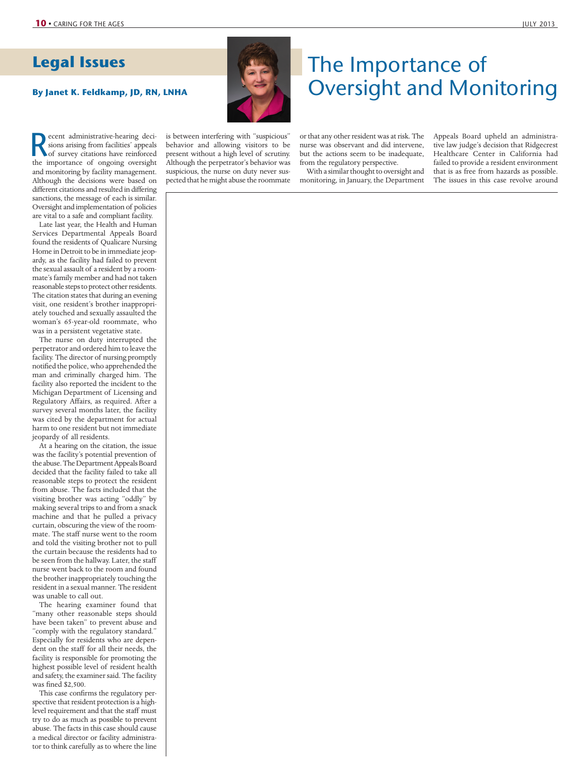## **Legal Issues**

**R** ecent administrative-hearing decisions arising from facilities' appeals<br>of survey citations have reinforced<br>the importance of ongoing oversight ecent administrative-hearing decisions arising from facilities' appeals of survey citations have reinforced and monitoring by facility management. Although the decisions were based on different citations and resulted in differing sanctions, the message of each is similar. Oversight and implementation of policies are vital to a safe and compliant facility.

Late last year, the Health and Human Services Departmental Appeals Board found the residents of Qualicare Nursing Home in Detroit to be in immediate jeopardy, as the facility had failed to prevent the sexual assault of a resident by a roommate's family member and had not taken reasonable steps to protect other residents. The citation states that during an evening visit, one resident's brother inappropriately touched and sexually assaulted the woman's 65-year-old roommate, who was in a persistent vegetative state.

The nurse on duty interrupted the perpetrator and ordered him to leave the facility. The director of nursing promptly notified the police, who apprehended the man and criminally charged him. The facility also reported the incident to the Michigan Department of Licensing and Regulatory Affairs, as required. After a survey several months later, the facility was cited by the department for actual harm to one resident but not immediate jeopardy of all residents.

At a hearing on the citation, the issue was the facility's potential prevention of the abuse. The Department Appeals Board decided that the facility failed to take all reasonable steps to protect the resident from abuse. The facts included that the visiting brother was acting "oddly" by making several trips to and from a snack machine and that he pulled a privacy curtain, obscuring the view of the roommate. The staff nurse went to the room and told the visiting brother not to pull the curtain because the residents had to be seen from the hallway. Later, the staff nurse went back to the room and found the brother inappropriately touching the resident in a sexual manner. The resident was unable to call out.

The hearing examiner found that "many other reasonable steps should have been taken" to prevent abuse and "comply with the regulatory standard." Especially for residents who are dependent on the staff for all their needs, the facility is responsible for promoting the highest possible level of resident health and safety, the examiner said. The facility was fined \$2,500.

This case confirms the regulatory perspective that resident protection is a highlevel requirement and that the staff must try to do as much as possible to prevent abuse. The facts in this case should cause a medical director or facility administrator to think carefully as to where the line



is between interfering with "suspicious" behavior and allowing visitors to be present without a high level of scrutiny. Although the perpetrator's behavior was suspicious, the nurse on duty never suspected that he might abuse the roommate

## The Importance of By Janet K. Feldkamp, JD, RN, LNHA<br> **By Janet K. Feldkamp, JD, RN, LNHA CVersight and Monitoring**

or that any other resident was at risk. The nurse was observant and did intervene, but the actions seem to be inadequate, from the regulatory perspective.

With a similar thought to oversight and monitoring, in January, the Department

Appeals Board upheld an administrative law judge's decision that Ridgecrest Healthcare Center in California had failed to provide a resident environment that is as free from hazards as possible. The issues in this case revolve around